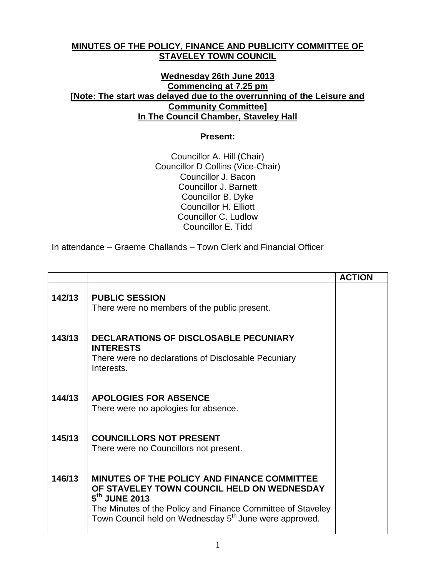## **MINUTES OF THE POLICY, FINANCE AND PUBLICITY COMMITTEE OF STAVELEY TOWN COUNCIL**

## **Wednesday 26th June 2013 Commencing at 7.25 pm [Note: The start was delayed due to the overrunning of the Leisure and Community Committee] In The Council Chamber, Staveley Hall**

## **Present:**

Councillor A. Hill (Chair) Councillor D Collins (Vice-Chair) Councillor J. Bacon Councillor J. Barnett Councillor B. Dyke Councillor H. Elliott Councillor C. Ludlow Councillor E. Tidd

In attendance – Graeme Challands – Town Clerk and Financial Officer

|        |                                                                                                                                                                                                                                                             | <b>ACTION</b> |
|--------|-------------------------------------------------------------------------------------------------------------------------------------------------------------------------------------------------------------------------------------------------------------|---------------|
| 142/13 | <b>PUBLIC SESSION</b><br>There were no members of the public present.                                                                                                                                                                                       |               |
| 143/13 | <b>DECLARATIONS OF DISCLOSABLE PECUNIARY</b><br><b>INTERESTS</b><br>There were no declarations of Disclosable Pecuniary<br>Interests.                                                                                                                       |               |
| 144/13 | <b>APOLOGIES FOR ABSENCE</b><br>There were no apologies for absence.                                                                                                                                                                                        |               |
| 145/13 | <b>COUNCILLORS NOT PRESENT</b><br>There were no Councillors not present.                                                                                                                                                                                    |               |
| 146/13 | MINUTES OF THE POLICY AND FINANCE COMMITTEE<br>OF STAVELEY TOWN COUNCIL HELD ON WEDNESDAY<br>5 <sup>th</sup> JUNE 2013<br>The Minutes of the Policy and Finance Committee of Staveley<br>Town Council held on Wednesday 5 <sup>th</sup> June were approved. |               |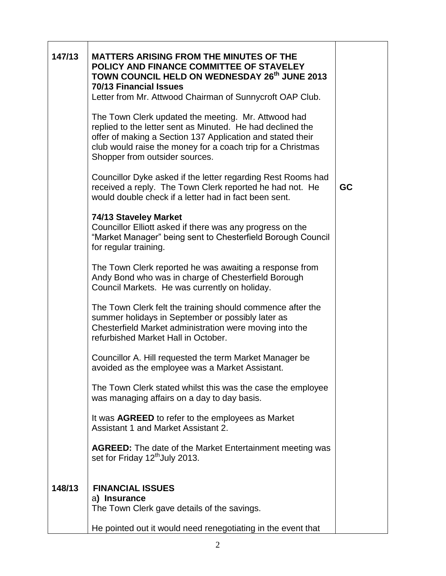| 147/13 | <b>MATTERS ARISING FROM THE MINUTES OF THE</b><br>POLICY AND FINANCE COMMITTEE OF STAVELEY<br>TOWN COUNCIL HELD ON WEDNESDAY 26th JUNE 2013<br><b>70/13 Financial Issues</b><br>Letter from Mr. Attwood Chairman of Sunnycroft OAP Club.<br>The Town Clerk updated the meeting. Mr. Attwood had<br>replied to the letter sent as Minuted. He had declined the<br>offer of making a Section 137 Application and stated their<br>club would raise the money for a coach trip for a Christmas<br>Shopper from outsider sources.<br>Councillor Dyke asked if the letter regarding Rest Rooms had<br>received a reply. The Town Clerk reported he had not. He<br>would double check if a letter had in fact been sent.<br>74/13 Staveley Market<br>Councillor Elliott asked if there was any progress on the<br>"Market Manager" being sent to Chesterfield Borough Council<br>for regular training.<br>The Town Clerk reported he was awaiting a response from<br>Andy Bond who was in charge of Chesterfield Borough<br>Council Markets. He was currently on holiday.<br>The Town Clerk felt the training should commence after the<br>summer holidays in September or possibly later as<br>Chesterfield Market administration were moving into the<br>refurbished Market Hall in October.<br>Councillor A. Hill requested the term Market Manager be<br>avoided as the employee was a Market Assistant.<br>The Town Clerk stated whilst this was the case the employee<br>was managing affairs on a day to day basis.<br>It was <b>AGREED</b> to refer to the employees as Market | <b>GC</b> |
|--------|---------------------------------------------------------------------------------------------------------------------------------------------------------------------------------------------------------------------------------------------------------------------------------------------------------------------------------------------------------------------------------------------------------------------------------------------------------------------------------------------------------------------------------------------------------------------------------------------------------------------------------------------------------------------------------------------------------------------------------------------------------------------------------------------------------------------------------------------------------------------------------------------------------------------------------------------------------------------------------------------------------------------------------------------------------------------------------------------------------------------------------------------------------------------------------------------------------------------------------------------------------------------------------------------------------------------------------------------------------------------------------------------------------------------------------------------------------------------------------------------------------------------------------------------------------------------------------|-----------|
|        | Assistant 1 and Market Assistant 2.                                                                                                                                                                                                                                                                                                                                                                                                                                                                                                                                                                                                                                                                                                                                                                                                                                                                                                                                                                                                                                                                                                                                                                                                                                                                                                                                                                                                                                                                                                                                             |           |
|        | <b>AGREED:</b> The date of the Market Entertainment meeting was<br>set for Friday 12 <sup>th</sup> July 2013.                                                                                                                                                                                                                                                                                                                                                                                                                                                                                                                                                                                                                                                                                                                                                                                                                                                                                                                                                                                                                                                                                                                                                                                                                                                                                                                                                                                                                                                                   |           |
| 148/13 | <b>FINANCIAL ISSUES</b><br>a) Insurance<br>The Town Clerk gave details of the savings.<br>He pointed out it would need renegotiating in the event that                                                                                                                                                                                                                                                                                                                                                                                                                                                                                                                                                                                                                                                                                                                                                                                                                                                                                                                                                                                                                                                                                                                                                                                                                                                                                                                                                                                                                          |           |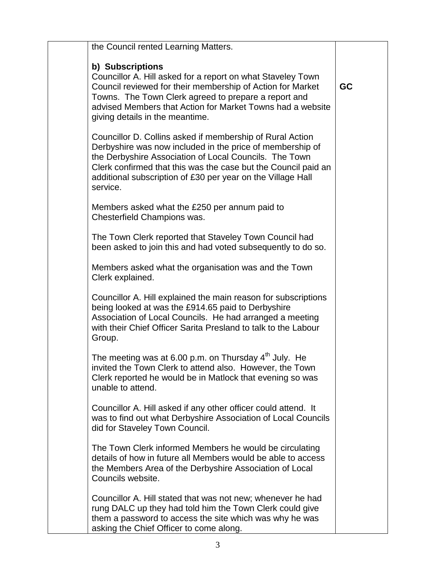| the Council rented Learning Matters.                                                                                                                                                                                                                                                                                          |    |
|-------------------------------------------------------------------------------------------------------------------------------------------------------------------------------------------------------------------------------------------------------------------------------------------------------------------------------|----|
| b) Subscriptions<br>Councillor A. Hill asked for a report on what Staveley Town<br>Council reviewed for their membership of Action for Market<br>Towns. The Town Clerk agreed to prepare a report and<br>advised Members that Action for Market Towns had a website<br>giving details in the meantime.                        | GC |
| Councillor D. Collins asked if membership of Rural Action<br>Derbyshire was now included in the price of membership of<br>the Derbyshire Association of Local Councils. The Town<br>Clerk confirmed that this was the case but the Council paid an<br>additional subscription of £30 per year on the Village Hall<br>service. |    |
| Members asked what the £250 per annum paid to<br>Chesterfield Champions was.                                                                                                                                                                                                                                                  |    |
| The Town Clerk reported that Staveley Town Council had<br>been asked to join this and had voted subsequently to do so.                                                                                                                                                                                                        |    |
| Members asked what the organisation was and the Town<br>Clerk explained.                                                                                                                                                                                                                                                      |    |
| Councillor A. Hill explained the main reason for subscriptions<br>being looked at was the £914.65 paid to Derbyshire<br>Association of Local Councils. He had arranged a meeting<br>with their Chief Officer Sarita Presland to talk to the Labour<br>Group.                                                                  |    |
| The meeting was at 6.00 p.m. on Thursday 4 <sup>th</sup> July. He<br>invited the Town Clerk to attend also. However, the Town<br>Clerk reported he would be in Matlock that evening so was<br>unable to attend.                                                                                                               |    |
| Councillor A. Hill asked if any other officer could attend. It<br>was to find out what Derbyshire Association of Local Councils<br>did for Staveley Town Council.                                                                                                                                                             |    |
| The Town Clerk informed Members he would be circulating<br>details of how in future all Members would be able to access<br>the Members Area of the Derbyshire Association of Local<br>Councils website.                                                                                                                       |    |
| Councillor A. Hill stated that was not new; whenever he had<br>rung DALC up they had told him the Town Clerk could give<br>them a password to access the site which was why he was<br>asking the Chief Officer to come along.                                                                                                 |    |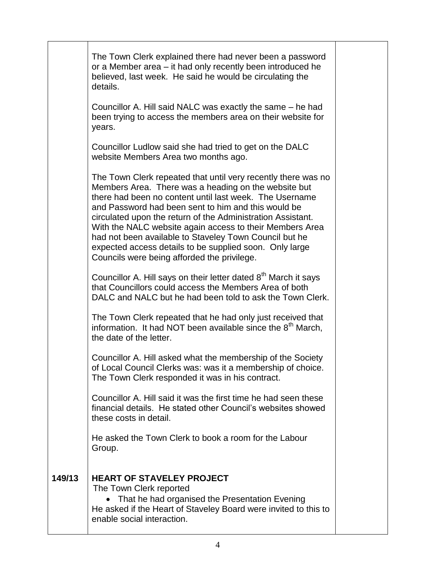|        | The Town Clerk explained there had never been a password<br>or a Member area – it had only recently been introduced he<br>believed, last week. He said he would be circulating the<br>details.                                                                                                                                                                                                                                                                                                                                         |  |
|--------|----------------------------------------------------------------------------------------------------------------------------------------------------------------------------------------------------------------------------------------------------------------------------------------------------------------------------------------------------------------------------------------------------------------------------------------------------------------------------------------------------------------------------------------|--|
|        | Councillor A. Hill said NALC was exactly the same – he had<br>been trying to access the members area on their website for<br>years.                                                                                                                                                                                                                                                                                                                                                                                                    |  |
|        | Councillor Ludlow said she had tried to get on the DALC<br>website Members Area two months ago.                                                                                                                                                                                                                                                                                                                                                                                                                                        |  |
|        | The Town Clerk repeated that until very recently there was no<br>Members Area. There was a heading on the website but<br>there had been no content until last week. The Username<br>and Password had been sent to him and this would be<br>circulated upon the return of the Administration Assistant.<br>With the NALC website again access to their Members Area<br>had not been available to Staveley Town Council but he<br>expected access details to be supplied soon. Only large<br>Councils were being afforded the privilege. |  |
|        | Councillor A. Hill says on their letter dated 8 <sup>th</sup> March it says<br>that Councillors could access the Members Area of both<br>DALC and NALC but he had been told to ask the Town Clerk.                                                                                                                                                                                                                                                                                                                                     |  |
|        | The Town Clerk repeated that he had only just received that<br>information. It had NOT been available since the 8 <sup>th</sup> March,<br>the date of the letter.                                                                                                                                                                                                                                                                                                                                                                      |  |
|        | Councillor A. Hill asked what the membership of the Society<br>of Local Council Clerks was: was it a membership of choice<br>The Town Clerk responded it was in his contract.                                                                                                                                                                                                                                                                                                                                                          |  |
|        | Councillor A. Hill said it was the first time he had seen these<br>financial details. He stated other Council's websites showed<br>these costs in detail.                                                                                                                                                                                                                                                                                                                                                                              |  |
|        | He asked the Town Clerk to book a room for the Labour<br>Group.                                                                                                                                                                                                                                                                                                                                                                                                                                                                        |  |
| 149/13 | <b>HEART OF STAVELEY PROJECT</b><br>The Town Clerk reported<br>• That he had organised the Presentation Evening<br>He asked if the Heart of Staveley Board were invited to this to<br>enable social interaction.                                                                                                                                                                                                                                                                                                                       |  |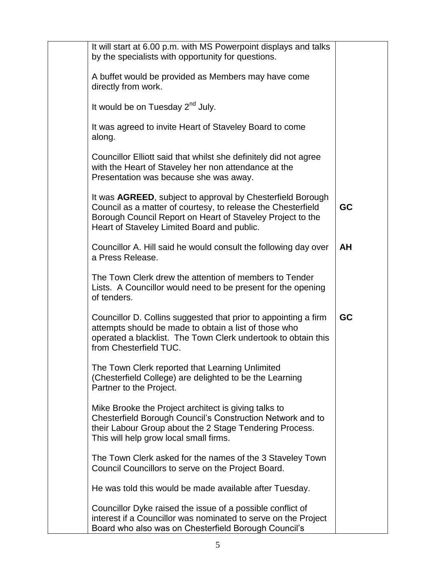| It will start at 6.00 p.m. with MS Powerpoint displays and talks<br>by the specialists with opportunity for questions.                                                                                                                          |           |
|-------------------------------------------------------------------------------------------------------------------------------------------------------------------------------------------------------------------------------------------------|-----------|
| A buffet would be provided as Members may have come<br>directly from work.                                                                                                                                                                      |           |
| It would be on Tuesday 2 <sup>nd</sup> July.                                                                                                                                                                                                    |           |
| It was agreed to invite Heart of Staveley Board to come<br>along.                                                                                                                                                                               |           |
| Councillor Elliott said that whilst she definitely did not agree<br>with the Heart of Staveley her non attendance at the<br>Presentation was because she was away.                                                                              |           |
| It was <b>AGREED</b> , subject to approval by Chesterfield Borough<br>Council as a matter of courtesy, to release the Chesterfield<br>Borough Council Report on Heart of Staveley Project to the<br>Heart of Staveley Limited Board and public. | <b>GC</b> |
| Councillor A. Hill said he would consult the following day over<br>a Press Release.                                                                                                                                                             | <b>AH</b> |
| The Town Clerk drew the attention of members to Tender<br>Lists. A Councillor would need to be present for the opening<br>of tenders.                                                                                                           |           |
| Councillor D. Collins suggested that prior to appointing a firm<br>attempts should be made to obtain a list of those who<br>operated a blacklist. The Town Clerk undertook to obtain this<br>from Chesterfield TUC.                             | <b>GC</b> |
| The Town Clerk reported that Learning Unlimited<br>(Chesterfield College) are delighted to be the Learning<br>Partner to the Project.                                                                                                           |           |
| Mike Brooke the Project architect is giving talks to<br>Chesterfield Borough Council's Construction Network and to<br>their Labour Group about the 2 Stage Tendering Process.<br>This will help grow local small firms.                         |           |
| The Town Clerk asked for the names of the 3 Staveley Town<br>Council Councillors to serve on the Project Board.                                                                                                                                 |           |
| He was told this would be made available after Tuesday.                                                                                                                                                                                         |           |
| Councillor Dyke raised the issue of a possible conflict of<br>interest if a Councillor was nominated to serve on the Project<br>Board who also was on Chesterfield Borough Council's                                                            |           |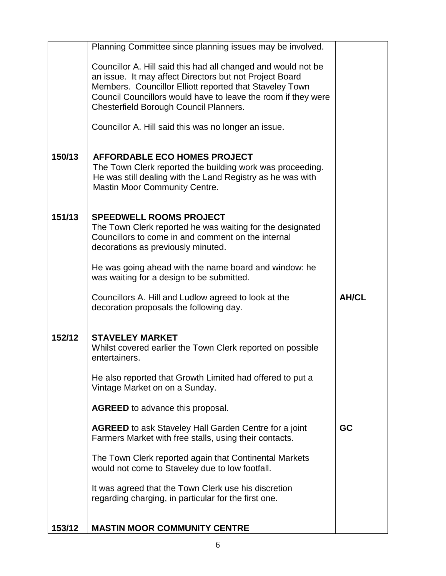|        | Planning Committee since planning issues may be involved.                                                                |              |
|--------|--------------------------------------------------------------------------------------------------------------------------|--------------|
|        | Councillor A. Hill said this had all changed and would not be<br>an issue. It may affect Directors but not Project Board |              |
|        | Members. Councillor Elliott reported that Staveley Town                                                                  |              |
|        | Council Councillors would have to leave the room if they were                                                            |              |
|        | Chesterfield Borough Council Planners.                                                                                   |              |
|        | Councillor A. Hill said this was no longer an issue.                                                                     |              |
| 150/13 | <b>AFFORDABLE ECO HOMES PROJECT</b>                                                                                      |              |
|        | The Town Clerk reported the building work was proceeding.                                                                |              |
|        | He was still dealing with the Land Registry as he was with<br><b>Mastin Moor Community Centre.</b>                       |              |
|        |                                                                                                                          |              |
| 151/13 | <b>SPEEDWELL ROOMS PROJECT</b>                                                                                           |              |
|        | The Town Clerk reported he was waiting for the designated<br>Councillors to come in and comment on the internal          |              |
|        | decorations as previously minuted.                                                                                       |              |
|        | He was going ahead with the name board and window: he                                                                    |              |
|        | was waiting for a design to be submitted.                                                                                |              |
|        | Councillors A. Hill and Ludlow agreed to look at the                                                                     | <b>AH/CL</b> |
|        | decoration proposals the following day.                                                                                  |              |
| 152/12 | <b>STAVELEY MARKET</b>                                                                                                   |              |
|        | Whilst covered earlier the Town Clerk reported on possible                                                               |              |
|        | entertainers.                                                                                                            |              |
|        | He also reported that Growth Limited had offered to put a                                                                |              |
|        | Vintage Market on on a Sunday.                                                                                           |              |
|        | <b>AGREED</b> to advance this proposal.                                                                                  |              |
|        | <b>AGREED</b> to ask Staveley Hall Garden Centre for a joint                                                             | <b>GC</b>    |
|        | Farmers Market with free stalls, using their contacts.                                                                   |              |
|        | The Town Clerk reported again that Continental Markets<br>would not come to Staveley due to low footfall.                |              |
|        |                                                                                                                          |              |
|        | It was agreed that the Town Clerk use his discretion<br>regarding charging, in particular for the first one.             |              |
|        |                                                                                                                          |              |
| 153/12 | <b>MASTIN MOOR COMMUNITY CENTRE</b>                                                                                      |              |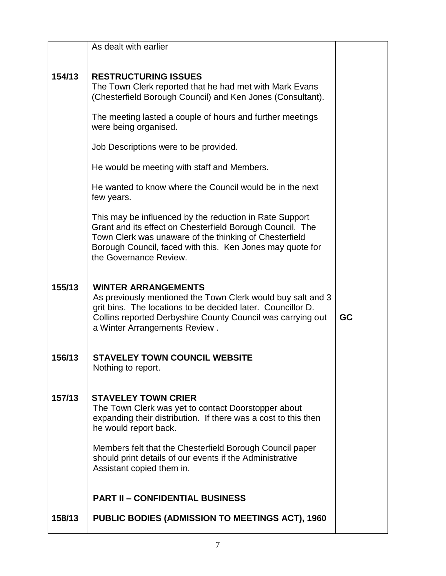|        | As dealt with earlier                                                                                                                                                                                                                                                 |           |
|--------|-----------------------------------------------------------------------------------------------------------------------------------------------------------------------------------------------------------------------------------------------------------------------|-----------|
| 154/13 | <b>RESTRUCTURING ISSUES</b><br>The Town Clerk reported that he had met with Mark Evans<br>(Chesterfield Borough Council) and Ken Jones (Consultant).                                                                                                                  |           |
|        | The meeting lasted a couple of hours and further meetings<br>were being organised.                                                                                                                                                                                    |           |
|        | Job Descriptions were to be provided.                                                                                                                                                                                                                                 |           |
|        | He would be meeting with staff and Members.                                                                                                                                                                                                                           |           |
|        | He wanted to know where the Council would be in the next<br>few years.                                                                                                                                                                                                |           |
|        | This may be influenced by the reduction in Rate Support<br>Grant and its effect on Chesterfield Borough Council. The<br>Town Clerk was unaware of the thinking of Chesterfield<br>Borough Council, faced with this. Ken Jones may quote for<br>the Governance Review. |           |
| 155/13 | <b>WINTER ARRANGEMENTS</b><br>As previously mentioned the Town Clerk would buy salt and 3<br>grit bins. The locations to be decided later. Councillor D.<br>Collins reported Derbyshire County Council was carrying out<br>a Winter Arrangements Review.              | <b>GC</b> |
| 156/13 | <b>STAVELEY TOWN COUNCIL WEBSITE</b><br>Nothing to report.                                                                                                                                                                                                            |           |
| 157/13 | <b>STAVELEY TOWN CRIER</b><br>The Town Clerk was yet to contact Doorstopper about<br>expanding their distribution. If there was a cost to this then<br>he would report back.                                                                                          |           |
|        | Members felt that the Chesterfield Borough Council paper<br>should print details of our events if the Administrative<br>Assistant copied them in.                                                                                                                     |           |
|        | <b>PART II - CONFIDENTIAL BUSINESS</b>                                                                                                                                                                                                                                |           |
| 158/13 | <b>PUBLIC BODIES (ADMISSION TO MEETINGS ACT), 1960</b>                                                                                                                                                                                                                |           |